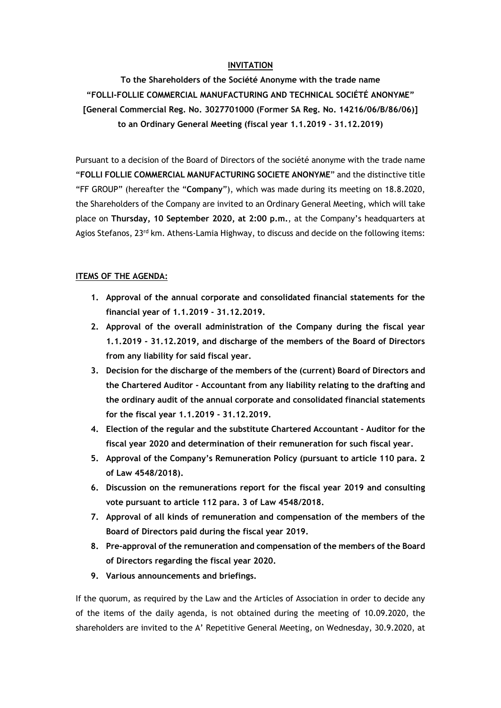## **INVITATION**

**To the Shareholders of the Société Anonyme with the trade name "FOLLI-FOLLIE COMMERCIAL MANUFACTURING AND TECHNICAL SOCIÉTÉ ANONYME" [General Commercial Reg. No. 3027701000 (Former SA Reg. No. 14216/06/B/86/06)] to an Ordinary General Meeting (fiscal year 1.1.2019 - 31.12.2019)**

Pursuant to a decision of the Board of Directors of the société anonyme with the trade name "**FOLLI FOLLIE COMMERCIAL MANUFACTURING SOCIETE ANONYME**" and the distinctive title "FF GROUP" (hereafter the "**Company**"), which was made during its meeting on 18.8.2020, the Shareholders of the Company are invited to an Ordinary General Meeting, which will take place on **Thursday, 10 September 2020, at 2:00 p.m.**, at the Company's headquarters at Agios Stefanos, 23<sup>rd</sup> km. Athens-Lamia Highway, to discuss and decide on the following items:

#### **ITEMS OF THE AGENDA:**

- **1. Approval of the annual corporate and consolidated financial statements for the financial year of 1.1.2019 - 31.12.2019.**
- **2. Approval of the overall administration of the Company during the fiscal year 1.1.2019 - 31.12.2019, and discharge of the members of the Board of Directors from any liability for said fiscal year.**
- **3. Decision for the discharge of the members of the (current) Board of Directors and the Chartered Auditor - Accountant from any liability relating to the drafting and the ordinary audit of the annual corporate and consolidated financial statements for the fiscal year 1.1.2019 - 31.12.2019.**
- **4. Election of the regular and the substitute Chartered Accountant - Auditor for the fiscal year 2020 and determination of their remuneration for such fiscal year.**
- **5. Approval of the Company's Remuneration Policy (pursuant to article 110 para. 2 of Law 4548/2018).**
- **6. Discussion on the remunerations report for the fiscal year 2019 and consulting vote pursuant to article 112 para. 3 of Law 4548/2018.**
- **7. Approval of all kinds of remuneration and compensation of the members of the Board of Directors paid during the fiscal year 2019.**
- **8. Pre-approval of the remuneration and compensation of the members of the Board of Directors regarding the fiscal year 2020.**
- **9. Various announcements and briefings.**

If the quorum, as required by the Law and the Articles of Association in order to decide any of the items of the daily agenda, is not obtained during the meeting of 10.09.2020, the shareholders are invited to the A' Repetitive General Meeting, on Wednesday, 30.9.2020, at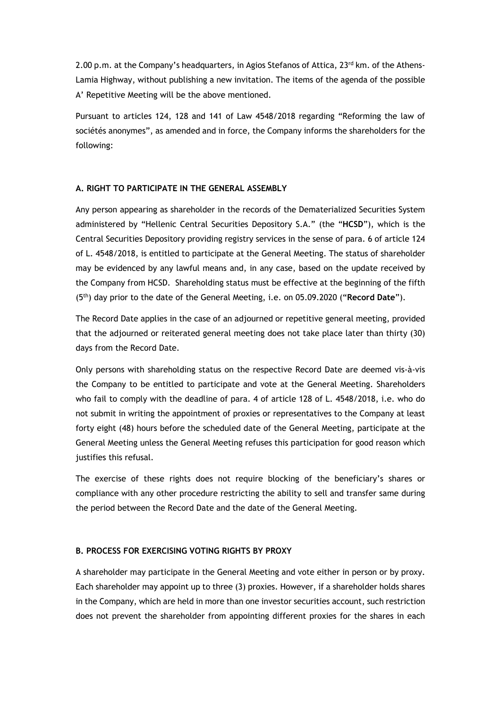2.00 p.m. at the Company's headquarters, in Agios Stefanos of Attica, 23<sup>rd</sup> km. of the Athens-Lamia Highway, without publishing a new invitation. The items of the agenda of the possible A' Repetitive Meeting will be the above mentioned.

Pursuant to articles 124, 128 and 141 of Law 4548/2018 regarding "Reforming the law of sociétés anonymes", as amended and in force, the Company informs the shareholders for the following:

#### **A. RIGHT TO PARTICIPATE IN THE GENERAL ASSEMBLY**

Any person appearing as shareholder in the records of the Dematerialized Securities System administered by "Hellenic Central Securities Depository S.A." (the "**HCSD**"), which is the Central Securities Depository providing registry services in the sense of para. 6 of article 124 of L. 4548/2018, is entitled to participate at the General Meeting. The status of shareholder may be evidenced by any lawful means and, in any case, based on the update received by the Company from HCSD. Shareholding status must be effective at the beginning of the fifth (5th) day prior to the date of the General Meeting, i.e. on 05.09.2020 ("**Record Date**").

The Record Date applies in the case of an adjourned or repetitive general meeting, provided that the adjourned or reiterated general meeting does not take place later than thirty (30) days from the Record Date.

Only persons with shareholding status on the respective Record Date are deemed vis-à-vis the Company to be entitled to participate and vote at the General Meeting. Shareholders who fail to comply with the deadline of para. 4 of article 128 of L. 4548/2018, i.e. who do not submit in writing the appointment of proxies or representatives to the Company at least forty eight (48) hours before the scheduled date of the General Meeting, participate at the General Meeting unless the General Meeting refuses this participation for good reason which justifies this refusal.

The exercise of these rights does not require blocking of the beneficiary's shares or compliance with any other procedure restricting the ability to sell and transfer same during the period between the Record Date and the date of the General Meeting.

## **B. PROCESS FOR EXERCISING VOTING RIGHTS BY PROXY**

A shareholder may participate in the General Meeting and vote either in person or by proxy. Each shareholder may appoint up to three (3) proxies. However, if a shareholder holds shares in the Company, which are held in more than one investor securities account, such restriction does not prevent the shareholder from appointing different proxies for the shares in each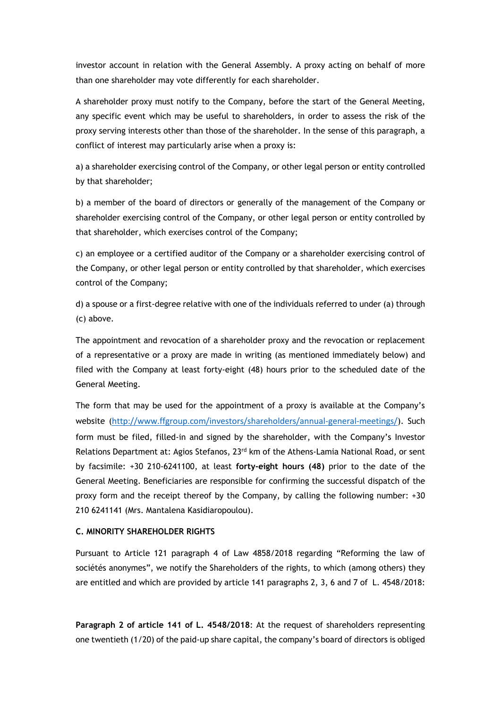investor account in relation with the General Assembly. A proxy acting on behalf of more than one shareholder may vote differently for each shareholder.

A shareholder proxy must notify to the Company, before the start of the General Meeting, any specific event which may be useful to shareholders, in order to assess the risk of the proxy serving interests other than those of the shareholder. In the sense of this paragraph, a conflict of interest may particularly arise when a proxy is:

a) a shareholder exercising control of the Company, or other legal person or entity controlled by that shareholder;

b) a member of the board of directors or generally of the management of the Company or shareholder exercising control of the Company, or other legal person or entity controlled by that shareholder, which exercises control of the Company;

c) an employee or a certified auditor of the Company or a shareholder exercising control of the Company, or other legal person or entity controlled by that shareholder, which exercises control of the Company;

d) a spouse or a first-degree relative with one of the individuals referred to under (a) through (c) above.

The appointment and revocation of a shareholder proxy and the revocation or replacement of a representative or a proxy are made in writing (as mentioned immediately below) and filed with the Company at least forty-eight (48) hours prior to the scheduled date of the General Meeting.

The form that may be used for the appointment of a proxy is available at the Company's website (<http://www.ffgroup.com/investors/shareholders/annual-general-meetings/>). Such form must be filed, filled-in and signed by the shareholder, with the Company's Investor Relations Department at: Agios Stefanos, 23<sup>rd</sup> km of the Athens-Lamia National Road, or sent by facsimile: +30 210-6241100, at least **forty-eight hours (48)** prior to the date of the General Meeting. Beneficiaries are responsible for confirming the successful dispatch of the proxy form and the receipt thereof by the Company, by calling the following number: +30 210 6241141 (Mrs. Mantalena Kasidiaropoulou).

# **C. MINORITY SHAREHOLDER RIGHTS**

Pursuant to Article 121 paragraph 4 of Law 4858/2018 regarding "Reforming the law of sociétés anonymes", we notify the Shareholders of the rights, to which (among others) they are entitled and which are provided by article 141 paragraphs 2, 3, 6 and 7 of L. 4548/2018:

**Paragraph 2 of article 141 of L. 4548/2018**: At the request of shareholders representing one twentieth (1/20) of the paid-up share capital, the company's board of directors is obliged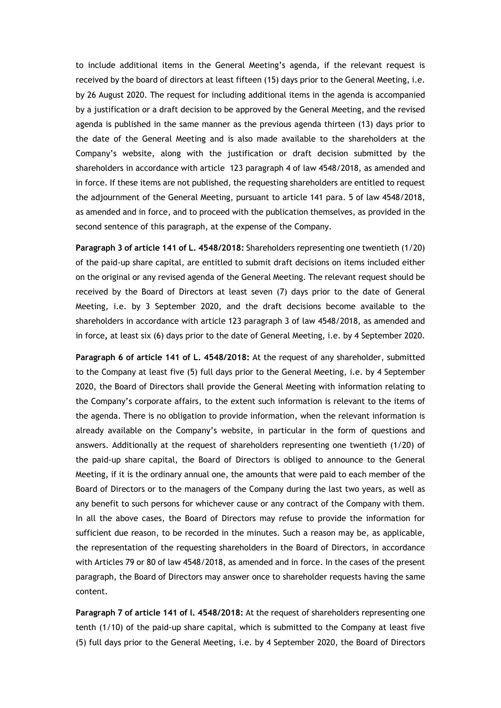to include additional items in the General Meeting's agenda, if the relevant request is received by the board of directors at least fifteen (15) days prior to the General Meeting, i.e. by 26 August 2020. The request for including additional items in the agenda is accompanied by a justification or a draft decision to be approved by the General Meeting, and the revised agenda is published in the same manner as the previous agenda thirteen (13) days prior to the date of the General Meeting and is also made available to the shareholders at the Company's website, along with the justification or draft decision submitted by the shareholders in accordance with article 123 paragraph 4 of law 4548/2018, as amended and in force. If these items are not published, the requesting shareholders are entitled to request the adjournment of the General Meeting, pursuant to article 141 para. 5 of law 4548/2018, as amended and in force, and to proceed with the publication themselves, as provided in the second sentence of this paragraph, at the expense of the Company.

**Paragraph 3 of article 141 of L. 4548/2018:** Shareholders representing one twentieth (1/20) of the paid-up share capital, are entitled to submit draft decisions on items included either on the original or any revised agenda of the General Meeting. The relevant request should be received by the Board of Directors at least seven (7) days prior to the date of General Meeting, i.e. by 3 September 2020, and the draft decisions become available to the shareholders in accordance with article 123 paragraph 3 of law 4548/2018, as amended and in force**,** at least six (6) days prior to the date of General Meeting, i.e. by 4 September 2020.

**Paragraph 6 of article 141 of L. 4548/2018:** At the request of any shareholder, submitted to the Company at least five (5) full days prior to the General Meeting, i.e. by 4 September 2020, the Board of Directors shall provide the General Meeting with information relating to the Company's corporate affairs, to the extent such information is relevant to the items of the agenda. There is no obligation to provide information, when the relevant information is already available on the Company's website, in particular in the form of questions and answers. Additionally at the request of shareholders representing one twentieth (1/20) of the paid-up share capital, the Board of Directors is obliged to announce to the General Meeting, if it is the ordinary annual one, the amounts that were paid to each member of the Board of Directors or to the managers of the Company during the last two years, as well as any benefit to such persons for whichever cause or any contract of the Company with them. In all the above cases, the Board of Directors may refuse to provide the information for sufficient due reason, to be recorded in the minutes. Such a reason may be, as applicable, the representation of the requesting shareholders in the Board of Directors, in accordance with Articles 79 or 80 of law 4548/2018, as amended and in force. In the cases of the present paragraph, the Board of Directors may answer once to shareholder requests having the same content.

**Paragraph 7 of article 141 of l. 4548/2018:** At the request of shareholders representing one tenth (1/10) of the paid-up share capital, which is submitted to the Company at least five (5) full days prior to the General Meeting, i.e. by 4 September 2020, the Board of Directors